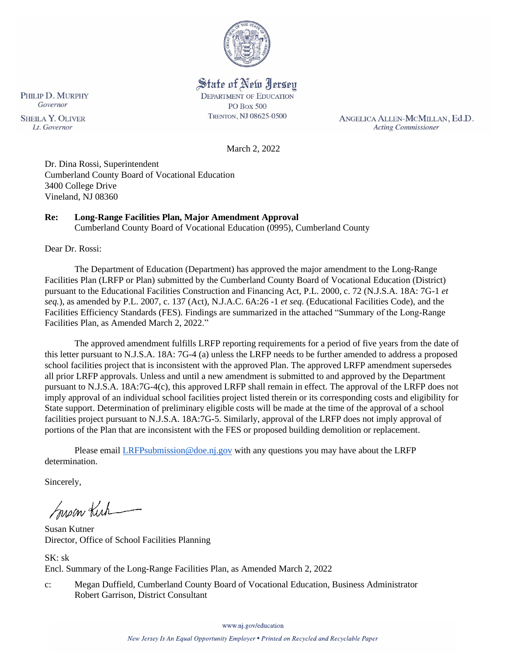

State of New Jersey **DEPARTMENT OF EDUCATION PO Box 500** TRENTON, NJ 08625-0500

ANGELICA ALLEN-MCMILLAN, Ed.D. **Acting Commissioner** 

March 2, 2022

Dr. Dina Rossi, Superintendent Cumberland County Board of Vocational Education 3400 College Drive Vineland, NJ 08360

# **Re: Long-Range Facilities Plan, Major Amendment Approval**

Cumberland County Board of Vocational Education (0995), Cumberland County

Dear Dr. Rossi:

The Department of Education (Department) has approved the major amendment to the Long-Range Facilities Plan (LRFP or Plan) submitted by the Cumberland County Board of Vocational Education (District) pursuant to the Educational Facilities Construction and Financing Act, P.L. 2000, c. 72 (N.J.S.A. 18A: 7G-1 *et seq.*), as amended by P.L. 2007, c. 137 (Act), N.J.A.C. 6A:26 -1 *et seq.* (Educational Facilities Code), and the Facilities Efficiency Standards (FES). Findings are summarized in the attached "Summary of the Long-Range Facilities Plan, as Amended March 2, 2022."

The approved amendment fulfills LRFP reporting requirements for a period of five years from the date of this letter pursuant to N.J.S.A. 18A: 7G-4 (a) unless the LRFP needs to be further amended to address a proposed school facilities project that is inconsistent with the approved Plan. The approved LRFP amendment supersedes all prior LRFP approvals. Unless and until a new amendment is submitted to and approved by the Department pursuant to N.J.S.A. 18A:7G-4(c), this approved LRFP shall remain in effect. The approval of the LRFP does not imply approval of an individual school facilities project listed therein or its corresponding costs and eligibility for State support. Determination of preliminary eligible costs will be made at the time of the approval of a school facilities project pursuant to N.J.S.A. 18A:7G-5. Similarly, approval of the LRFP does not imply approval of portions of the Plan that are inconsistent with the FES or proposed building demolition or replacement.

Please email *LRFPsubmission@doe.nj.gov* with any questions you may have about the LRFP determination.

Sincerely,

Susan Kich

Susan Kutner Director, Office of School Facilities Planning

SK: sk Encl. Summary of the Long-Range Facilities Plan, as Amended March 2, 2022

c: Megan Duffield, Cumberland County Board of Vocational Education, Business Administrator Robert Garrison, District Consultant

www.nj.gov/education

PHILIP D. MURPHY Governor **SHEILA Y. OLIVER** Lt. Governor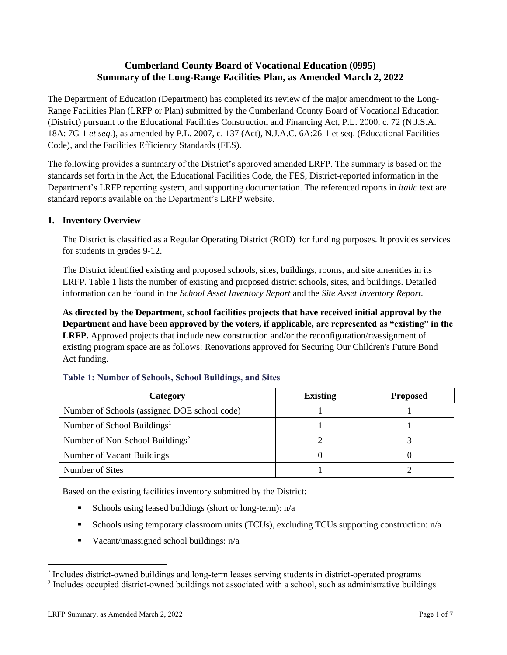# **Cumberland County Board of Vocational Education (0995) Summary of the Long-Range Facilities Plan, as Amended March 2, 2022**

The Department of Education (Department) has completed its review of the major amendment to the Long-Range Facilities Plan (LRFP or Plan) submitted by the Cumberland County Board of Vocational Education (District) pursuant to the Educational Facilities Construction and Financing Act, P.L. 2000, c. 72 (N.J.S.A. 18A: 7G-1 *et seq.*), as amended by P.L. 2007, c. 137 (Act), N.J.A.C. 6A:26-1 et seq. (Educational Facilities Code), and the Facilities Efficiency Standards (FES).

The following provides a summary of the District's approved amended LRFP. The summary is based on the standards set forth in the Act, the Educational Facilities Code, the FES, District-reported information in the Department's LRFP reporting system, and supporting documentation. The referenced reports in *italic* text are standard reports available on the Department's LRFP website.

#### **1. Inventory Overview**

The District is classified as a Regular Operating District (ROD) for funding purposes. It provides services for students in grades 9-12.

The District identified existing and proposed schools, sites, buildings, rooms, and site amenities in its LRFP. Table 1 lists the number of existing and proposed district schools, sites, and buildings. Detailed information can be found in the *School Asset Inventory Report* and the *Site Asset Inventory Report.*

**As directed by the Department, school facilities projects that have received initial approval by the Department and have been approved by the voters, if applicable, are represented as "existing" in the LRFP.** Approved projects that include new construction and/or the reconfiguration/reassignment of existing program space are as follows: Renovations approved for Securing Our Children's Future Bond Act funding.

| Category                                     | <b>Existing</b> | <b>Proposed</b> |
|----------------------------------------------|-----------------|-----------------|
| Number of Schools (assigned DOE school code) |                 |                 |
| Number of School Buildings <sup>1</sup>      |                 |                 |
| Number of Non-School Buildings <sup>2</sup>  |                 |                 |
| Number of Vacant Buildings                   |                 |                 |
| Number of Sites                              |                 |                 |

#### **Table 1: Number of Schools, School Buildings, and Sites**

Based on the existing facilities inventory submitted by the District:

- **•** Schools using leased buildings (short or long-term):  $n/a$
- Schools using temporary classroom units (TCUs), excluding TCUs supporting construction: n/a
- Vacant/unassigned school buildings: n/a

*<sup>1</sup>* Includes district-owned buildings and long-term leases serving students in district-operated programs

<sup>&</sup>lt;sup>2</sup> Includes occupied district-owned buildings not associated with a school, such as administrative buildings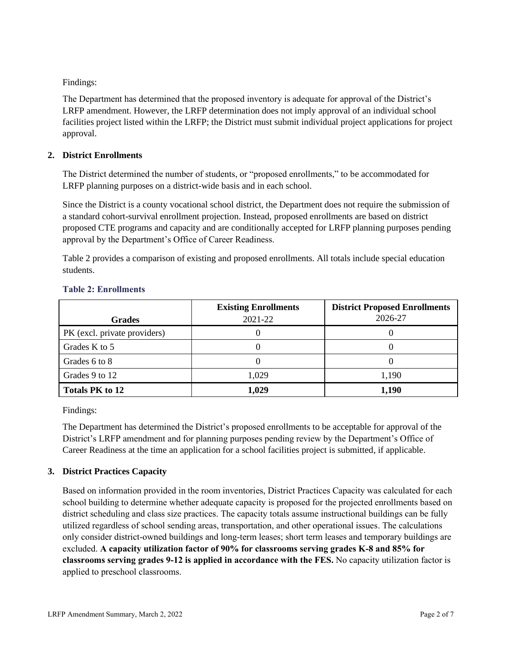Findings:

The Department has determined that the proposed inventory is adequate for approval of the District's LRFP amendment. However, the LRFP determination does not imply approval of an individual school facilities project listed within the LRFP; the District must submit individual project applications for project approval.

## **2. District Enrollments**

The District determined the number of students, or "proposed enrollments," to be accommodated for LRFP planning purposes on a district-wide basis and in each school.

Since the District is a county vocational school district, the Department does not require the submission of a standard cohort-survival enrollment projection. Instead, proposed enrollments are based on district proposed CTE programs and capacity and are conditionally accepted for LRFP planning purposes pending approval by the Department's Office of Career Readiness.

Table 2 provides a comparison of existing and proposed enrollments. All totals include special education students.

|                              | <b>Existing Enrollments</b> | <b>District Proposed Enrollments</b> |
|------------------------------|-----------------------------|--------------------------------------|
| <b>Grades</b>                | 2021-22                     | 2026-27                              |
| PK (excl. private providers) |                             |                                      |
| Grades K to 5                |                             |                                      |
| Grades 6 to 8                |                             |                                      |
| Grades 9 to 12               | 1,029                       | 1,190                                |
| <b>Totals PK to 12</b>       | 1,029                       | 1,190                                |

## **Table 2: Enrollments**

Findings:

The Department has determined the District's proposed enrollments to be acceptable for approval of the District's LRFP amendment and for planning purposes pending review by the Department's Office of Career Readiness at the time an application for a school facilities project is submitted, if applicable.

# **3. District Practices Capacity**

Based on information provided in the room inventories, District Practices Capacity was calculated for each school building to determine whether adequate capacity is proposed for the projected enrollments based on district scheduling and class size practices. The capacity totals assume instructional buildings can be fully utilized regardless of school sending areas, transportation, and other operational issues. The calculations only consider district-owned buildings and long-term leases; short term leases and temporary buildings are excluded. **A capacity utilization factor of 90% for classrooms serving grades K-8 and 85% for classrooms serving grades 9-12 is applied in accordance with the FES.** No capacity utilization factor is applied to preschool classrooms.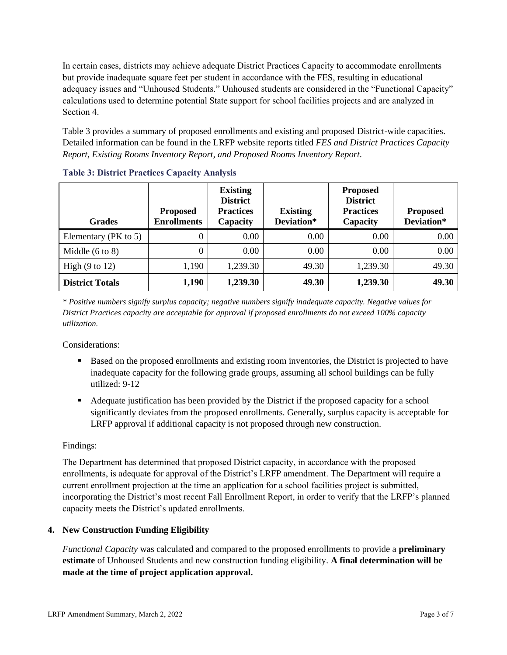In certain cases, districts may achieve adequate District Practices Capacity to accommodate enrollments but provide inadequate square feet per student in accordance with the FES, resulting in educational adequacy issues and "Unhoused Students." Unhoused students are considered in the "Functional Capacity" calculations used to determine potential State support for school facilities projects and are analyzed in Section 4.

Table 3 provides a summary of proposed enrollments and existing and proposed District-wide capacities. Detailed information can be found in the LRFP website reports titled *FES and District Practices Capacity Report, Existing Rooms Inventory Report, and Proposed Rooms Inventory Report.*

| <b>Grades</b>              | <b>Proposed</b><br><b>Enrollments</b> | <b>Existing</b><br><b>District</b><br><b>Practices</b><br>Capacity | <b>Existing</b><br>Deviation* | <b>Proposed</b><br><b>District</b><br><b>Practices</b><br>Capacity | <b>Proposed</b><br>Deviation* |
|----------------------------|---------------------------------------|--------------------------------------------------------------------|-------------------------------|--------------------------------------------------------------------|-------------------------------|
| Elementary ( $PK$ to 5)    | 0                                     | 0.00                                                               | 0.00                          | 0.00                                                               | 0.00                          |
| Middle $(6 \text{ to } 8)$ | 0                                     | 0.00                                                               | 0.00                          | 0.00                                                               | 0.00                          |
| High $(9 \text{ to } 12)$  | 1,190                                 | 1,239.30                                                           | 49.30                         | 1,239.30                                                           | 49.30                         |
| <b>District Totals</b>     | 1,190                                 | 1,239.30                                                           | 49.30                         | 1,239.30                                                           | 49.30                         |

|  |  |  |  | <b>Table 3: District Practices Capacity Analysis</b> |  |  |
|--|--|--|--|------------------------------------------------------|--|--|
|--|--|--|--|------------------------------------------------------|--|--|

*\* Positive numbers signify surplus capacity; negative numbers signify inadequate capacity. Negative values for District Practices capacity are acceptable for approval if proposed enrollments do not exceed 100% capacity utilization.*

Considerations:

- Based on the proposed enrollments and existing room inventories, the District is projected to have inadequate capacity for the following grade groups, assuming all school buildings can be fully utilized: 9-12
- Adequate justification has been provided by the District if the proposed capacity for a school significantly deviates from the proposed enrollments. Generally, surplus capacity is acceptable for LRFP approval if additional capacity is not proposed through new construction.

## Findings:

The Department has determined that proposed District capacity, in accordance with the proposed enrollments, is adequate for approval of the District's LRFP amendment. The Department will require a current enrollment projection at the time an application for a school facilities project is submitted, incorporating the District's most recent Fall Enrollment Report, in order to verify that the LRFP's planned capacity meets the District's updated enrollments.

## **4. New Construction Funding Eligibility**

*Functional Capacity* was calculated and compared to the proposed enrollments to provide a **preliminary estimate** of Unhoused Students and new construction funding eligibility. **A final determination will be made at the time of project application approval.**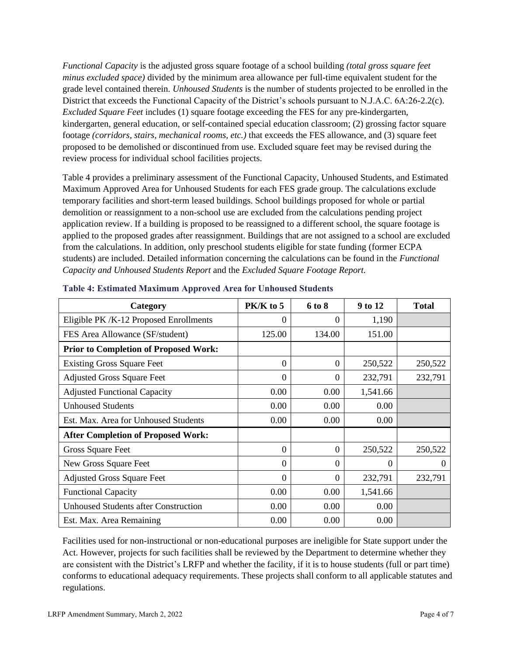*Functional Capacity* is the adjusted gross square footage of a school building *(total gross square feet minus excluded space)* divided by the minimum area allowance per full-time equivalent student for the grade level contained therein. *Unhoused Students* is the number of students projected to be enrolled in the District that exceeds the Functional Capacity of the District's schools pursuant to N.J.A.C. 6A:26-2.2(c). *Excluded Square Feet* includes (1) square footage exceeding the FES for any pre-kindergarten, kindergarten, general education, or self-contained special education classroom; (2) grossing factor square footage *(corridors, stairs, mechanical rooms, etc.)* that exceeds the FES allowance, and (3) square feet proposed to be demolished or discontinued from use. Excluded square feet may be revised during the review process for individual school facilities projects.

Table 4 provides a preliminary assessment of the Functional Capacity, Unhoused Students, and Estimated Maximum Approved Area for Unhoused Students for each FES grade group. The calculations exclude temporary facilities and short-term leased buildings. School buildings proposed for whole or partial demolition or reassignment to a non-school use are excluded from the calculations pending project application review. If a building is proposed to be reassigned to a different school, the square footage is applied to the proposed grades after reassignment. Buildings that are not assigned to a school are excluded from the calculations. In addition, only preschool students eligible for state funding (former ECPA students) are included. Detailed information concerning the calculations can be found in the *Functional Capacity and Unhoused Students Report* and the *Excluded Square Footage Report.*

| Category                                     | PK/K to 5 | 6 to 8            | 9 to 12  | <b>Total</b> |
|----------------------------------------------|-----------|-------------------|----------|--------------|
| Eligible PK/K-12 Proposed Enrollments        | 0         | $\mathbf{\Omega}$ | 1,190    |              |
| FES Area Allowance (SF/student)              | 125.00    | 134.00            | 151.00   |              |
| <b>Prior to Completion of Proposed Work:</b> |           |                   |          |              |
| <b>Existing Gross Square Feet</b>            | $\Omega$  | 0                 | 250,522  | 250,522      |
| <b>Adjusted Gross Square Feet</b>            | $\Omega$  | 0                 | 232,791  | 232,791      |
| <b>Adjusted Functional Capacity</b>          | 0.00      | 0.00              | 1,541.66 |              |
| <b>Unhoused Students</b>                     | 0.00      | 0.00              | 0.00     |              |
| Est. Max. Area for Unhoused Students         | 0.00      | 0.00              | 0.00     |              |
| <b>After Completion of Proposed Work:</b>    |           |                   |          |              |
| Gross Square Feet                            | $\Omega$  | 0                 | 250,522  | 250,522      |
| New Gross Square Feet                        | $\Omega$  | 0                 | 0        | $\Omega$     |
| <b>Adjusted Gross Square Feet</b>            | $\Omega$  | $\Omega$          | 232,791  | 232,791      |
| <b>Functional Capacity</b>                   | 0.00      | 0.00              | 1,541.66 |              |
| <b>Unhoused Students after Construction</b>  | 0.00      | 0.00              | 0.00     |              |
| Est. Max. Area Remaining                     | 0.00      | 0.00              | 0.00     |              |

| <b>Table 4: Estimated Maximum Approved Area for Unhoused Students</b> |  |
|-----------------------------------------------------------------------|--|
|                                                                       |  |

Facilities used for non-instructional or non-educational purposes are ineligible for State support under the Act. However, projects for such facilities shall be reviewed by the Department to determine whether they are consistent with the District's LRFP and whether the facility, if it is to house students (full or part time) conforms to educational adequacy requirements. These projects shall conform to all applicable statutes and regulations.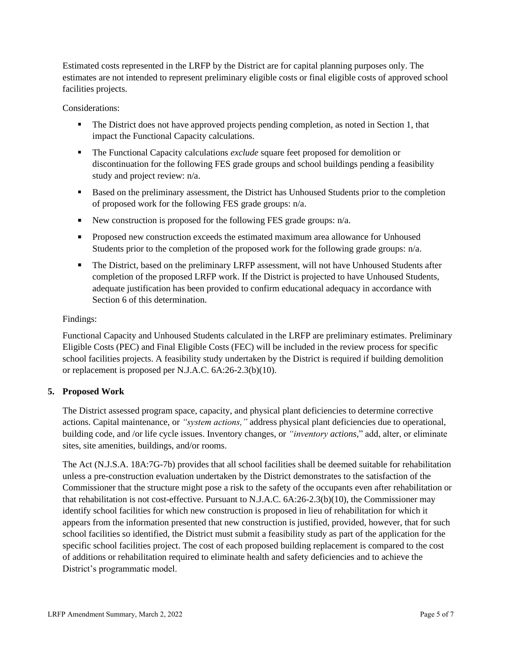Estimated costs represented in the LRFP by the District are for capital planning purposes only. The estimates are not intended to represent preliminary eligible costs or final eligible costs of approved school facilities projects.

Considerations:

- **•** The District does not have approved projects pending completion, as noted in Section 1, that impact the Functional Capacity calculations.
- **The Functional Capacity calculations** *exclude* square feet proposed for demolition or discontinuation for the following FES grade groups and school buildings pending a feasibility study and project review: n/a.
- Based on the preliminary assessment, the District has Unhoused Students prior to the completion of proposed work for the following FES grade groups: n/a.
- E New construction is proposed for the following FES grade groups:  $n/a$ .
- Proposed new construction exceeds the estimated maximum area allowance for Unhoused Students prior to the completion of the proposed work for the following grade groups: n/a.
- **•** The District, based on the preliminary LRFP assessment, will not have Unhoused Students after completion of the proposed LRFP work. If the District is projected to have Unhoused Students, adequate justification has been provided to confirm educational adequacy in accordance with Section 6 of this determination.

## Findings:

Functional Capacity and Unhoused Students calculated in the LRFP are preliminary estimates. Preliminary Eligible Costs (PEC) and Final Eligible Costs (FEC) will be included in the review process for specific school facilities projects. A feasibility study undertaken by the District is required if building demolition or replacement is proposed per N.J.A.C. 6A:26-2.3(b)(10).

## **5. Proposed Work**

The District assessed program space, capacity, and physical plant deficiencies to determine corrective actions. Capital maintenance, or *"system actions,"* address physical plant deficiencies due to operational, building code, and /or life cycle issues. Inventory changes, or *"inventory actions,*" add, alter, or eliminate sites, site amenities, buildings, and/or rooms.

The Act (N.J.S.A. 18A:7G-7b) provides that all school facilities shall be deemed suitable for rehabilitation unless a pre-construction evaluation undertaken by the District demonstrates to the satisfaction of the Commissioner that the structure might pose a risk to the safety of the occupants even after rehabilitation or that rehabilitation is not cost-effective. Pursuant to N.J.A.C. 6A:26-2.3(b)(10), the Commissioner may identify school facilities for which new construction is proposed in lieu of rehabilitation for which it appears from the information presented that new construction is justified, provided, however, that for such school facilities so identified, the District must submit a feasibility study as part of the application for the specific school facilities project. The cost of each proposed building replacement is compared to the cost of additions or rehabilitation required to eliminate health and safety deficiencies and to achieve the District's programmatic model.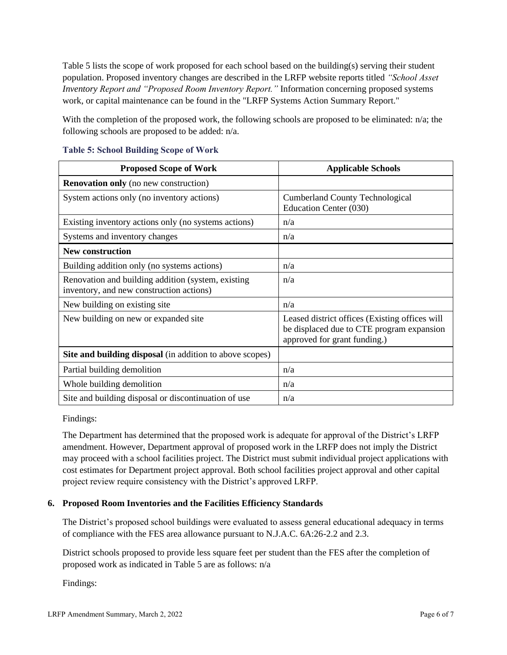Table 5 lists the scope of work proposed for each school based on the building(s) serving their student population. Proposed inventory changes are described in the LRFP website reports titled *"School Asset Inventory Report and "Proposed Room Inventory Report."* Information concerning proposed systems work, or capital maintenance can be found in the "LRFP Systems Action Summary Report."

With the completion of the proposed work, the following schools are proposed to be eliminated: n/a; the following schools are proposed to be added: n/a.

| <b>Proposed Scope of Work</b>                                                                  | <b>Applicable Schools</b>                                                                                                   |
|------------------------------------------------------------------------------------------------|-----------------------------------------------------------------------------------------------------------------------------|
| <b>Renovation only</b> (no new construction)                                                   |                                                                                                                             |
| System actions only (no inventory actions)                                                     | <b>Cumberland County Technological</b><br>Education Center (030)                                                            |
| Existing inventory actions only (no systems actions)                                           | n/a                                                                                                                         |
| Systems and inventory changes                                                                  | n/a                                                                                                                         |
| <b>New construction</b>                                                                        |                                                                                                                             |
| Building addition only (no systems actions)                                                    | n/a                                                                                                                         |
| Renovation and building addition (system, existing<br>inventory, and new construction actions) | n/a                                                                                                                         |
| New building on existing site                                                                  | n/a                                                                                                                         |
| New building on new or expanded site                                                           | Leased district offices (Existing offices will<br>be displaced due to CTE program expansion<br>approved for grant funding.) |
| Site and building disposal (in addition to above scopes)                                       |                                                                                                                             |
| Partial building demolition                                                                    | n/a                                                                                                                         |
| Whole building demolition                                                                      | n/a                                                                                                                         |
| Site and building disposal or discontinuation of use                                           | n/a                                                                                                                         |

#### **Table 5: School Building Scope of Work**

Findings:

The Department has determined that the proposed work is adequate for approval of the District's LRFP amendment. However, Department approval of proposed work in the LRFP does not imply the District may proceed with a school facilities project. The District must submit individual project applications with cost estimates for Department project approval. Both school facilities project approval and other capital project review require consistency with the District's approved LRFP.

## **6. Proposed Room Inventories and the Facilities Efficiency Standards**

The District's proposed school buildings were evaluated to assess general educational adequacy in terms of compliance with the FES area allowance pursuant to N.J.A.C. 6A:26-2.2 and 2.3.

District schools proposed to provide less square feet per student than the FES after the completion of proposed work as indicated in Table 5 are as follows: n/a

Findings: